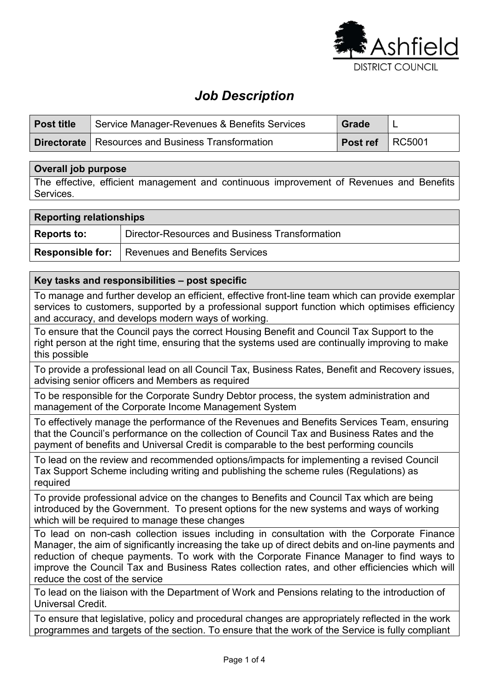

# Job Description

| <b>Post title</b> | Service Manager-Revenues & Benefits Services               | <b>Grade</b>    |  |
|-------------------|------------------------------------------------------------|-----------------|--|
|                   | <b>Directorate</b>   Resources and Business Transformation | Post ref RC5001 |  |

### Overall job purpose

The effective, efficient management and continuous improvement of Revenues and Benefits Services.

| <b>Reporting relationships</b> |                                                        |  |
|--------------------------------|--------------------------------------------------------|--|
| <b>Reports to:</b>             | Director-Resources and Business Transformation         |  |
|                                | <b>Responsible for:</b> Revenues and Benefits Services |  |

### Key tasks and responsibilities – post specific

To manage and further develop an efficient, effective front-line team which can provide exemplar services to customers, supported by a professional support function which optimises efficiency and accuracy, and develops modern ways of working.

To ensure that the Council pays the correct Housing Benefit and Council Tax Support to the right person at the right time, ensuring that the systems used are continually improving to make this possible

To provide a professional lead on all Council Tax, Business Rates, Benefit and Recovery issues, advising senior officers and Members as required

To be responsible for the Corporate Sundry Debtor process, the system administration and management of the Corporate Income Management System

To effectively manage the performance of the Revenues and Benefits Services Team, ensuring that the Council's performance on the collection of Council Tax and Business Rates and the payment of benefits and Universal Credit is comparable to the best performing councils

To lead on the review and recommended options/impacts for implementing a revised Council Tax Support Scheme including writing and publishing the scheme rules (Regulations) as required

To provide professional advice on the changes to Benefits and Council Tax which are being introduced by the Government. To present options for the new systems and ways of working which will be required to manage these changes

To lead on non-cash collection issues including in consultation with the Corporate Finance Manager, the aim of significantly increasing the take up of direct debits and on-line payments and reduction of cheque payments. To work with the Corporate Finance Manager to find ways to improve the Council Tax and Business Rates collection rates, and other efficiencies which will reduce the cost of the service

To lead on the liaison with the Department of Work and Pensions relating to the introduction of Universal Credit.

To ensure that legislative, policy and procedural changes are appropriately reflected in the work programmes and targets of the section. To ensure that the work of the Service is fully compliant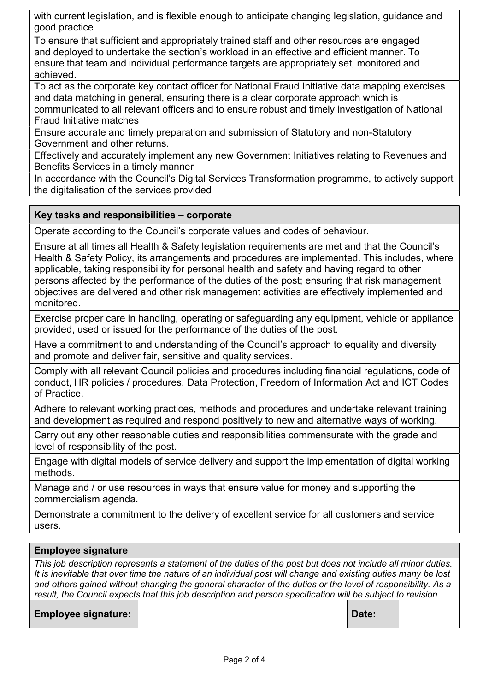with current legislation, and is flexible enough to anticipate changing legislation, guidance and good practice

To ensure that sufficient and appropriately trained staff and other resources are engaged and deployed to undertake the section's workload in an effective and efficient manner. To ensure that team and individual performance targets are appropriately set, monitored and achieved.

To act as the corporate key contact officer for National Fraud Initiative data mapping exercises and data matching in general, ensuring there is a clear corporate approach which is communicated to all relevant officers and to ensure robust and timely investigation of National Fraud Initiative matches

Ensure accurate and timely preparation and submission of Statutory and non-Statutory Government and other returns.

Effectively and accurately implement any new Government Initiatives relating to Revenues and Benefits Services in a timely manner

In accordance with the Council's Digital Services Transformation programme, to actively support the digitalisation of the services provided

## Key tasks and responsibilities – corporate

Operate according to the Council's corporate values and codes of behaviour.

Ensure at all times all Health & Safety legislation requirements are met and that the Council's Health & Safety Policy, its arrangements and procedures are implemented. This includes, where applicable, taking responsibility for personal health and safety and having regard to other persons affected by the performance of the duties of the post; ensuring that risk management objectives are delivered and other risk management activities are effectively implemented and monitored.

Exercise proper care in handling, operating or safeguarding any equipment, vehicle or appliance provided, used or issued for the performance of the duties of the post.

Have a commitment to and understanding of the Council's approach to equality and diversity and promote and deliver fair, sensitive and quality services.

Comply with all relevant Council policies and procedures including financial regulations, code of conduct, HR policies / procedures, Data Protection, Freedom of Information Act and ICT Codes of Practice.

Adhere to relevant working practices, methods and procedures and undertake relevant training and development as required and respond positively to new and alternative ways of working.

Carry out any other reasonable duties and responsibilities commensurate with the grade and level of responsibility of the post.

Engage with digital models of service delivery and support the implementation of digital working methods.

Manage and / or use resources in ways that ensure value for money and supporting the commercialism agenda.

Demonstrate a commitment to the delivery of excellent service for all customers and service users.

## Employee signature

This job description represents a statement of the duties of the post but does not include all minor duties. It is inevitable that over time the nature of an individual post will change and existing duties many be lost and others gained without changing the general character of the duties or the level of responsibility. As a result, the Council expects that this job description and person specification will be subject to revision.

Employee signature: | Note: | Note: | Date: | Date: | Date: | Date: | Date: | Date: | Date: | Date: | Date: | Date: | Date: | Date: | Date: | Date: | Date: | Date: | Date: | Date: | Date: | Date: | Date: | Date: | Date: |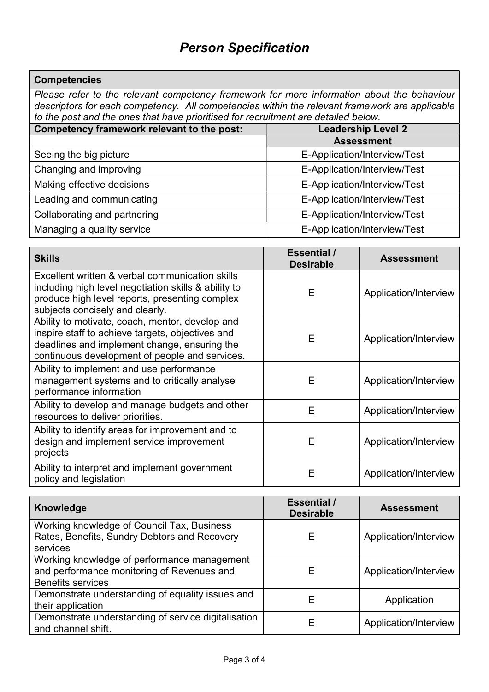# **Competencies**

Please refer to the relevant competency framework for more information about the behaviour descriptors for each competency. All competencies within the relevant framework are applicable to the post and the ones that have prioritised for recruitment are detailed below.

| Competency framework relevant to the post: | <b>Leadership Level 2</b>    |  |
|--------------------------------------------|------------------------------|--|
|                                            | <b>Assessment</b>            |  |
| Seeing the big picture                     | E-Application/Interview/Test |  |
| Changing and improving                     | E-Application/Interview/Test |  |
| Making effective decisions                 | E-Application/Interview/Test |  |
| Leading and communicating                  | E-Application/Interview/Test |  |
| Collaborating and partnering               | E-Application/Interview/Test |  |
| Managing a quality service                 | E-Application/Interview/Test |  |

| <b>Skills</b>                                                                                                                                                                                         | <b>Essential /</b><br><b>Desirable</b> | <b>Assessment</b>     |
|-------------------------------------------------------------------------------------------------------------------------------------------------------------------------------------------------------|----------------------------------------|-----------------------|
| Excellent written & verbal communication skills<br>including high level negotiation skills & ability to<br>produce high level reports, presenting complex<br>subjects concisely and clearly.          | E                                      | Application/Interview |
| Ability to motivate, coach, mentor, develop and<br>inspire staff to achieve targets, objectives and<br>deadlines and implement change, ensuring the<br>continuous development of people and services. | Е                                      | Application/Interview |
| Ability to implement and use performance<br>management systems and to critically analyse<br>performance information                                                                                   | Е                                      | Application/Interview |
| Ability to develop and manage budgets and other<br>resources to deliver priorities.                                                                                                                   | Е                                      | Application/Interview |
| Ability to identify areas for improvement and to<br>design and implement service improvement<br>projects                                                                                              | Е                                      | Application/Interview |
| Ability to interpret and implement government<br>policy and legislation                                                                                                                               | Е                                      | Application/Interview |

| Knowledge                                                                                                             | <b>Essential</b> /<br><b>Desirable</b> | <b>Assessment</b>     |
|-----------------------------------------------------------------------------------------------------------------------|----------------------------------------|-----------------------|
| Working knowledge of Council Tax, Business<br>Rates, Benefits, Sundry Debtors and Recovery<br>services                | Е                                      | Application/Interview |
| Working knowledge of performance management<br>and performance monitoring of Revenues and<br><b>Benefits services</b> | Е                                      | Application/Interview |
| Demonstrate understanding of equality issues and<br>their application                                                 | Е                                      | Application           |
| Demonstrate understanding of service digitalisation<br>and channel shift.                                             | F                                      | Application/Interview |